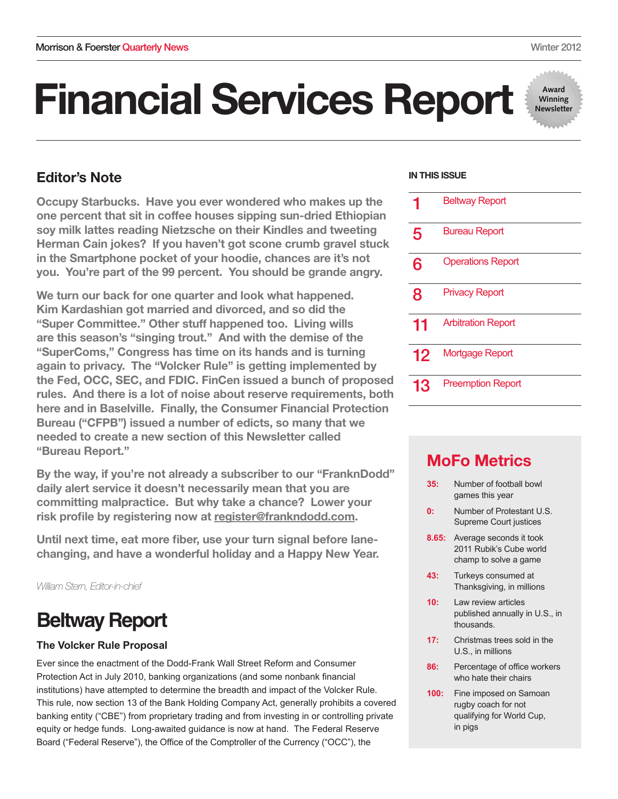# Financial Services Report

## Editor's Note

Occupy Starbucks. Have you ever wondered who makes up the one percent that sit in coffee houses sipping sun-dried Ethiopian soy milk lattes reading Nietzsche on their Kindles and tweeting Herman Cain jokes? If you haven't got scone crumb gravel stuck in the Smartphone pocket of your hoodie, chances are it's not you. You're part of the 99 percent. You should be grande angry.

We turn our back for one quarter and look what happened. Kim Kardashian got married and divorced, and so did the "Super Committee." Other stuff happened too. Living wills are this season's "singing trout." And with the demise of the "SuperComs," Congress has time on its hands and is turning again to privacy. The "Volcker Rule" is getting implemented by the Fed, OCC, SEC, and FDIC. FinCen issued a bunch of proposed rules. And there is a lot of noise about reserve requirements, both here and in Baselville. Finally, the Consumer Financial Protection Bureau ("CFPB") issued a number of edicts, so many that we needed to create a new section of this Newsletter called "Bureau Report."

By the way, if you're not already a subscriber to our "FranknDodd" daily alert service it doesn't necessarily mean that you are committing malpractice. But why take a chance? Lower your risk profile by registering now at register@frankndodd.com.

Until next time, eat more fiber, use your turn signal before lanechanging, and have a wonderful holiday and a Happy New Year.

*William Stern, Editor-in-chief*

## **Beltway Report**

## **The Volcker Rule Proposal**

Ever since the enactment of the Dodd-Frank Wall Street Reform and Consumer Protection Act in July 2010, banking organizations (and some nonbank financial institutions) have attempted to determine the breadth and impact of the Volcker Rule. This rule, now section 13 of the Bank Holding Company Act, generally prohibits a covered banking entity ("CBE") from proprietary trading and from investing in or controlling private equity or hedge funds. Long-awaited guidance is now at hand. The Federal Reserve Board ("Federal Reserve"), the Office of the Comptroller of the Currency ("OCC"), the

#### **IN THIS ISSUE**

|    | <b>Beltway Report</b>     |
|----|---------------------------|
| 5  | <b>Bureau Report</b>      |
| 6  | <b>Operations Report</b>  |
| 8  | <b>Privacy Report</b>     |
| 11 | <b>Arbitration Report</b> |
| 12 | <b>Mortgage Report</b>    |
| 13 | <b>Preemption Report</b>  |

## MoFo Metrics

- **35:** Number of football bowl games this year
- **0:** Number of Protestant U.S. Supreme Court justices
- **8.65:** Average seconds it took 2011 Rubik's Cube world champ to solve a game
- **43:** Turkeys consumed at Thanksgiving, in millions
- **10:** Law review articles published annually in U.S., in thousands.
- **17:** Christmas trees sold in the U.S., in millions
- **86:** Percentage of office workers who hate their chairs
- **100:** Fine imposed on Samoan rugby coach for not qualifying for World Cup, in pigs

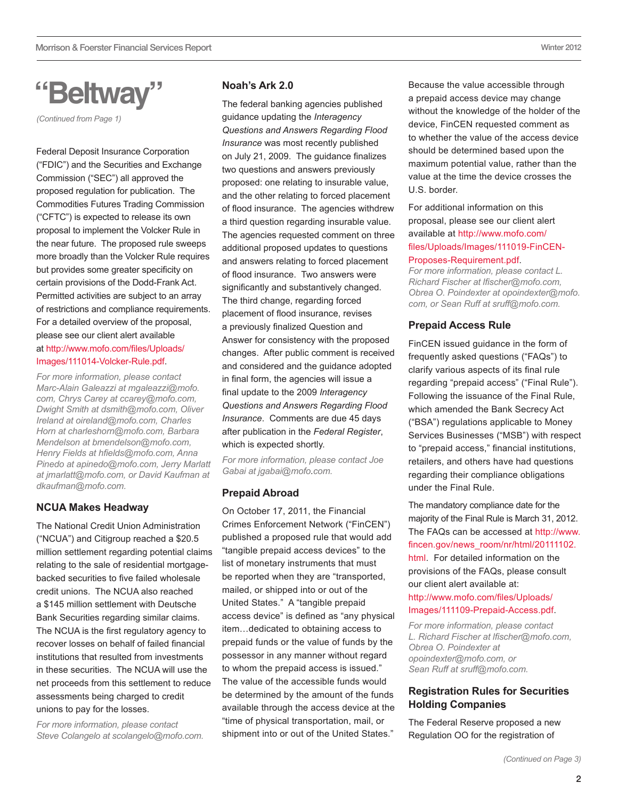## **"Beltway"**

*(Continued from Page 1)* 

Federal Deposit Insurance Corporation ("FDIC") and the Securities and Exchange Commission ("SEC") all approved the proposed regulation for publication. The Commodities Futures Trading Commission ("CFTC") is expected to release its own proposal to implement the Volcker Rule in the near future. The proposed rule sweeps more broadly than the Volcker Rule requires but provides some greater specificity on certain provisions of the Dodd-Frank Act. Permitted activities are subject to an array of restrictions and compliance requirements. For a detailed overview of the proposal, please see our client alert available at [http://www.mofo.com/files/Uploads/](http://www.mofo.com/files/Uploads/Images/111014-Volcker-Rule.pdf) [Images/111014-Volcker-Rule.pdf](http://www.mofo.com/files/Uploads/Images/111014-Volcker-Rule.pdf).

*For more information, please contact Marc-Alain Galeazzi at [mgaleazzi@mofo.](mailto:mgaleazzi@mofo.com) [com,](mailto:mgaleazzi@mofo.com) Chrys Carey at [ccarey@mofo.com,](mailto:ccarey@mofo.com) Dwight Smith at [dsmith@mofo.com,](mailto:dsmith@mofo.com) Oliver Ireland at [oireland@mofo.com](mailto:oireland@mofo.com), Charles Horn at [charleshorn@mofo.com](mailto:charleshorn@mofo.com), Barbara Mendelson at [bmendelson@mofo.com](mailto:bmendelson@mofo.com), Henry Fields at [hfields@mofo.com,](mailto:hfields@mofo.com) Anna Pinedo at [apinedo@mofo.com,](mailto:apinedo@mofo.com) Jerry Marlatt at [jmarlatt@mofo.com](mailto:jmarlatt@mofo.com), or David Kaufman at dkaufman@mofo.com.*

### **NCUA Makes Headway**

The National Credit Union Administration ("NCUA") and Citigroup reached a \$20.5 million settlement regarding potential claims relating to the sale of residential mortgagebacked securities to five failed wholesale credit unions. The NCUA also reached a \$145 million settlement with Deutsche Bank Securities regarding similar claims. The NCUA is the first regulatory agency to recover losses on behalf of failed financial institutions that resulted from investments in these securities. The NCUA will use the net proceeds from this settlement to reduce assessments being charged to credit unions to pay for the losses.

*For more information, please contact Steve Colangelo at [scolangelo@mofo.com](mailto:scolangelo@mofo.com).*

## **Noah's Ark 2.0**

The federal banking agencies published guidance updating the *Interagency Questions and Answers Regarding Flood Insurance* was most recently published on July 21, 2009. The guidance finalizes two questions and answers previously proposed: one relating to insurable value, and the other relating to forced placement of flood insurance. The agencies withdrew a third question regarding insurable value. The agencies requested comment on three additional proposed updates to questions and answers relating to forced placement of flood insurance. Two answers were significantly and substantively changed. The third change, regarding forced placement of flood insurance, revises a previously finalized Question and Answer for consistency with the proposed changes. After public comment is received and considered and the guidance adopted in final form, the agencies will issue a final update to the 2009 *Interagency Questions and Answers Regarding Flood Insurance*. Comments are due 45 days after publication in the *Federal Register*, which is expected shortly.

*For more information, please contact Joe Gabai at [jgabai@mofo.com](mailto:jgabai@mofo.com).* 

### **Prepaid Abroad**

On October 17, 2011, the Financial Crimes Enforcement Network ("FinCEN") published a proposed rule that would add "tangible prepaid access devices" to the list of monetary instruments that must be reported when they are "transported, mailed, or shipped into or out of the United States." A "tangible prepaid access device" is defined as "any physical item…dedicated to obtaining access to prepaid funds or the value of funds by the possessor in any manner without regard to whom the prepaid access is issued." The value of the accessible funds would be determined by the amount of the funds available through the access device at the "time of physical transportation, mail, or shipment into or out of the United States."

Because the value accessible through a prepaid access device may change without the knowledge of the holder of the device, FinCEN requested comment as to whether the value of the access device should be determined based upon the maximum potential value, rather than the value at the time the device crosses the U.S. border.

#### For additional information on this proposal, please see our client alert available at [http://www.mofo.com/](http://www.mofo.com/files/Uploads/Images/111019-FinCEN-Proposes-Requirement.pdf) [files/Uploads/Images/111019-FinCEN-](http://www.mofo.com/files/Uploads/Images/111019-FinCEN-Proposes-Requirement.pdf)[Proposes-Requirement.pdf.](http://www.mofo.com/files/Uploads/Images/111019-FinCEN-Proposes-Requirement.pdf)

*For more information, please contact L. Richard Fischer at [lfischer@mofo.com](mailto:lfischer@mofo.com), Obrea O. Poindexter at [opoindexter@mofo.](mailto:opoindexter@mofo.com) [com,](mailto:opoindexter@mofo.com) or Sean Ruff at [sruff@mofo.com.](mailto:sruff@mofo.com)*

### **Prepaid Access Rule**

FinCEN issued guidance in the form of frequently asked questions ("FAQs") to clarify various aspects of its final rule regarding "prepaid access" ("Final Rule"). Following the issuance of the Final Rule, which amended the Bank Secrecy Act ("BSA") regulations applicable to Money Services Businesses ("MSB") with respect to "prepaid access," financial institutions, retailers, and others have had questions regarding their compliance obligations under the Final Rule.

The mandatory compliance date for the majority of the Final Rule is March 31, 2012. The FAQs can be accessed at [http://www.](http://www.fincen.gov/news_room/nr/html/20111102.html) [fincen.gov/news\\_room/nr/html/20111102.](http://www.fincen.gov/news_room/nr/html/20111102.html) [html](http://www.fincen.gov/news_room/nr/html/20111102.html). For detailed information on the provisions of the FAQs, please consult our client alert available at:

### [http://www.mofo.com/files/Uploads/](http://www.mofo.com/files/Uploads/Images/111109-Prepaid-Access.pdf) [Images/111109-Prepaid-Access.pdf.](http://www.mofo.com/files/Uploads/Images/111109-Prepaid-Access.pdf)

*For more information, please contact L. Richard Fischer at [lfischer@mofo.com](mailto:lfischer@mofo.com), Obrea O. Poindexter at [opoindexter@mofo.com,](mailto:opoindexter@mofo.com) or Sean Ruff at [sruff@mofo.com](mailto:sruff@mofo.com).*

## **Registration Rules for Securities Holding Companies**

The Federal Reserve proposed a new Regulation OO for the registration of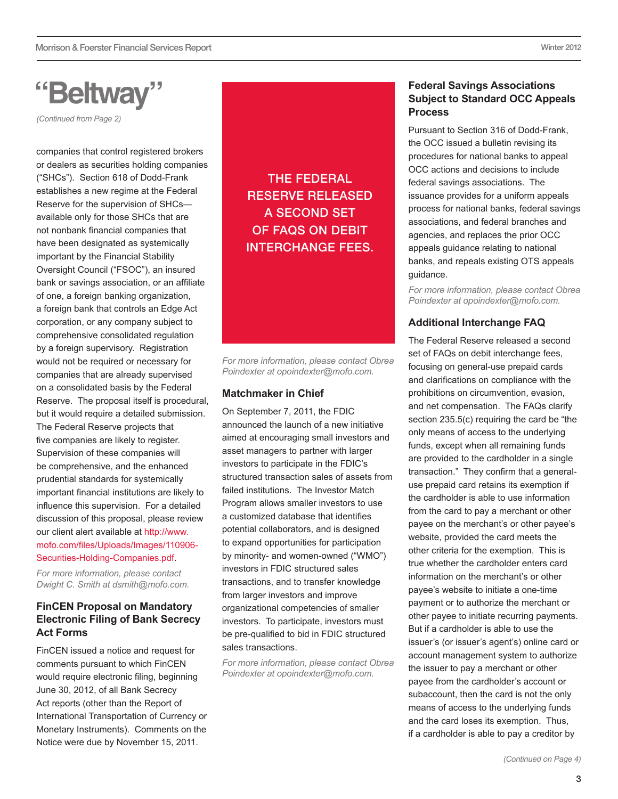## **"Beltway"**

*(Continued from Page 2)* 

companies that control registered brokers or dealers as securities holding companies ("SHCs"). Section 618 of Dodd-Frank establishes a new regime at the Federal Reserve for the supervision of SHCs available only for those SHCs that are not nonbank financial companies that have been designated as systemically important by the Financial Stability Oversight Council ("FSOC"), an insured bank or savings association, or an affiliate of one, a foreign banking organization, a foreign bank that controls an Edge Act corporation, or any company subject to comprehensive consolidated regulation by a foreign supervisory. Registration would not be required or necessary for companies that are already supervised on a consolidated basis by the Federal Reserve. The proposal itself is procedural, but it would require a detailed submission. The Federal Reserve projects that five companies are likely to register. Supervision of these companies will be comprehensive, and the enhanced prudential standards for systemically important financial institutions are likely to influence this supervision. For a detailed discussion of this proposal, please review our client alert available at [http://www.](http://www.mofo.com/files/Uploads/Images/110906-Securities-Holding-Companies.pdf) [mofo.com/files/Uploads/Images/110906-](http://www.mofo.com/files/Uploads/Images/110906-Securities-Holding-Companies.pdf) [Securities-Holding-Companies.pdf.](http://www.mofo.com/files/Uploads/Images/110906-Securities-Holding-Companies.pdf)

*For more information, please contact Dwight C. Smith at dsmith@mofo.com.*

## **FinCEN Proposal on Mandatory Electronic Filing of Bank Secrecy Act Forms**

FinCEN issued a notice and request for comments pursuant to which FinCEN would require electronic filing, beginning June 30, 2012, of all Bank Secrecy Act reports (other than the Report of International Transportation of Currency or Monetary Instruments). Comments on the Notice were due by November 15, 2011.

## The Federal Reserve released a [second set](http://www.aba.com/NR/rdonlyres/EF287A6C-C0DD-46AD-9AE1-4C65E5D7174B/73388/RegIIFAQs.pdf) [of FAQs](http://www.aba.com/NR/rdonlyres/EF287A6C-C0DD-46AD-9AE1-4C65E5D7174B/73388/RegIIFAQs.pdf) on debit interchange fees.

*For more information, please contact Obrea Poindexter at opoindexter@mofo.com.*

### **Matchmaker in Chief**

On September 7, 2011, the FDIC [announced](http://www.fdic.gov/news/news/press/2011/pr11148.html) the launch of a new initiative aimed at encouraging small investors and asset managers to partner with larger investors to participate in the FDIC's structured transaction sales of assets from failed institutions. The Investor Match Program allows smaller investors to use a customized database that identifies potential collaborators, and is designed to expand opportunities for participation by minority- and women‑owned ("WMO") investors in FDIC structured sales transactions, and to transfer knowledge from larger investors and improve organizational competencies of smaller investors. To participate, investors must be pre-qualified to bid in FDIC structured sales transactions.

*For more information, please contact Obrea Poindexter at [opoindexter@mofo.com](mailto:opoindexter@mofo.com).*

### **Federal Savings Associations Subject to Standard OCC Appeals Process**

Pursuant to Section 316 of Dodd-Frank, the OCC issued a [bulletin](http://www.occ.gov/news-issuances/bulletins/2011/bulletin-2011-44.html) revising its procedures for national banks to appeal OCC actions and decisions to include federal savings associations. The issuance provides for a uniform appeals process for national banks, federal savings associations, and federal branches and agencies, and replaces the prior OCC appeals guidance relating to national banks, and repeals existing OTS appeals guidance.

*For more information, please contact Obrea Poindexter at [opoindexter@mofo.com.](mailto:opoindexter@mofo.com)* 

## **Additional Interchange FAQ**

The Federal Reserve released a [second](http://www.aba.com/NR/rdonlyres/EF287A6C-C0DD-46AD-9AE1-4C65E5D7174B/73388/RegIIFAQs.pdf)  [set of FAQs](http://www.aba.com/NR/rdonlyres/EF287A6C-C0DD-46AD-9AE1-4C65E5D7174B/73388/RegIIFAQs.pdf) on debit interchange fees, focusing on general-use prepaid cards and clarifications on compliance with the prohibitions on circumvention, evasion, and net compensation. The FAQs clarify section 235.5(c) requiring the card be "the only means of access to the underlying funds, except when all remaining funds are provided to the cardholder in a single transaction." They confirm that a generaluse prepaid card retains its exemption if the cardholder is able to use information from the card to pay a merchant or other payee on the merchant's or other payee's website, provided the card meets the other criteria for the exemption. This is true whether the cardholder enters card information on the merchant's or other payee's website to initiate a one-time payment or to authorize the merchant or other payee to initiate recurring payments. But if a cardholder is able to use the issuer's (or issuer's agent's) online card or account management system to authorize the issuer to pay a merchant or other payee from the cardholder's account or subaccount, then the card is not the only means of access to the underlying funds and the card loses its exemption. Thus, if a cardholder is able to pay a creditor by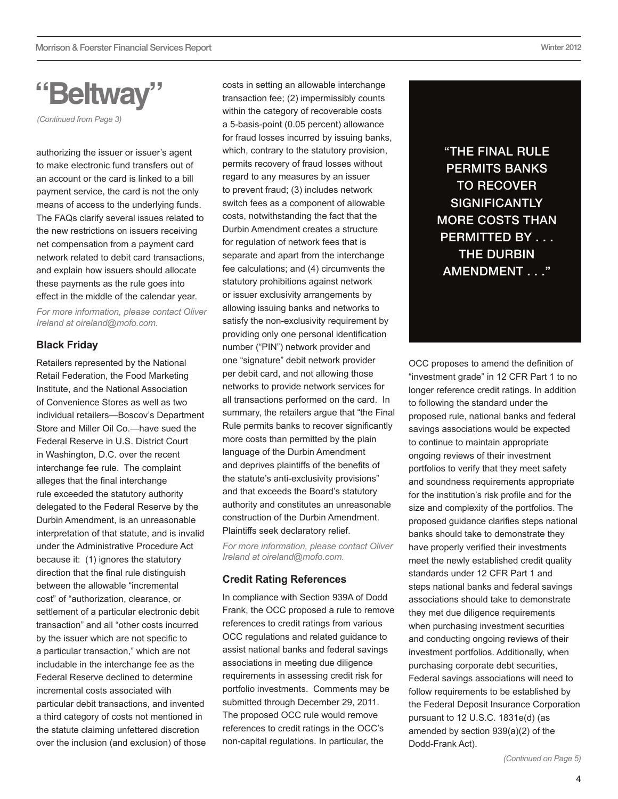**"Beltway"**

*(Continued from Page 3)* 

authorizing the issuer or issuer's agent to make electronic fund transfers out of an account or the card is linked to a bill payment service, the card is not the only means of access to the underlying funds. The FAQs clarify several issues related to the new restrictions on issuers receiving net compensation from a payment card network related to debit card transactions, and explain how issuers should allocate these payments as the rule goes into effect in the middle of the calendar year.

*For more information, please contact Oliver Ireland at oireland@mofo.com.*

#### **Black Friday**

Retailers represented by the National Retail Federation, the Food Marketing Institute, and the National Association of Convenience Stores as well as two individual retailers—Boscov's Department Store and Miller Oil Co.—have sued the Federal Reserve in U.S. District Court in Washington, D.C. over the recent interchange fee rule. The complaint alleges that the final interchange rule exceeded the statutory authority delegated to the Federal Reserve by the Durbin Amendment, is an unreasonable interpretation of that statute, and is invalid under the Administrative Procedure Act because it: (1) ignores the statutory direction that the final rule distinguish between the allowable "incremental cost" of "authorization, clearance, or settlement of a particular electronic debit transaction" and all "other costs incurred by the issuer which are not specific to a particular transaction," which are not includable in the interchange fee as the Federal Reserve declined to determine incremental costs associated with particular debit transactions, and invented a third category of costs not mentioned in the statute claiming unfettered discretion over the inclusion (and exclusion) of those costs in setting an allowable interchange transaction fee; (2) impermissibly counts within the category of recoverable costs a 5-basis-point (0.05 percent) allowance for fraud losses incurred by issuing banks, which, contrary to the statutory provision, permits recovery of fraud losses without regard to any measures by an issuer to prevent fraud; (3) includes network switch fees as a component of allowable costs, notwithstanding the fact that the Durbin Amendment creates a structure for regulation of network fees that is separate and apart from the interchange fee calculations; and (4) circumvents the statutory prohibitions against network or issuer exclusivity arrangements by allowing issuing banks and networks to satisfy the non-exclusivity requirement by providing only one personal identification number ("PIN") network provider and one "signature" debit network provider per debit card, and not allowing those networks to provide network services for all transactions performed on the card. In summary, the retailers arque that "the Final Rule permits banks to recover significantly more costs than permitted by the plain language of the Durbin Amendment and deprives plaintiffs of the benefits of the statute's anti-exclusivity provisions" and that exceeds the Board's statutory authority and constitutes an unreasonable construction of the Durbin Amendment. Plaintiffs seek declaratory relief.

*For more information, please contact Oliver Ireland at oireland@mofo.com.*

#### **Credit Rating References**

In compliance with Section 939A of Dodd Frank, the OCC proposed a rule to remove references to credit ratings from various OCC regulations and related guidance to assist national banks and federal savings associations in meeting due diligence requirements in assessing credit risk for portfolio investments. Comments may be submitted through December 29, 2011. The proposed OCC rule would remove references to credit ratings in the OCC's non-capital regulations. In particular, the

"the Final Rule permits banks **TO RECOVER SIGNIFICANTLY** more costs than PERMITTED BY . . . **THE DURBIN** Amendment . . ."

OCC proposes to amend the definition of "investment grade" in 12 CFR Part 1 to no longer reference credit ratings. In addition to following the standard under the proposed rule, national banks and federal savings associations would be expected to continue to maintain appropriate ongoing reviews of their investment portfolios to verify that they meet safety and soundness requirements appropriate for the institution's risk profile and for the size and complexity of the portfolios. The proposed guidance clarifies steps national banks should take to demonstrate they have properly verified their investments meet the newly established credit quality standards under 12 CFR Part 1 and steps national banks and federal savings associations should take to demonstrate they met due diligence requirements when purchasing investment securities and conducting ongoing reviews of their investment portfolios. Additionally, when purchasing corporate debt securities, Federal savings associations will need to follow requirements to be established by the Federal Deposit Insurance Corporation pursuant to 12 U.S.C. 1831e(d) (as amended by section 939(a)(2) of the Dodd-Frank Act).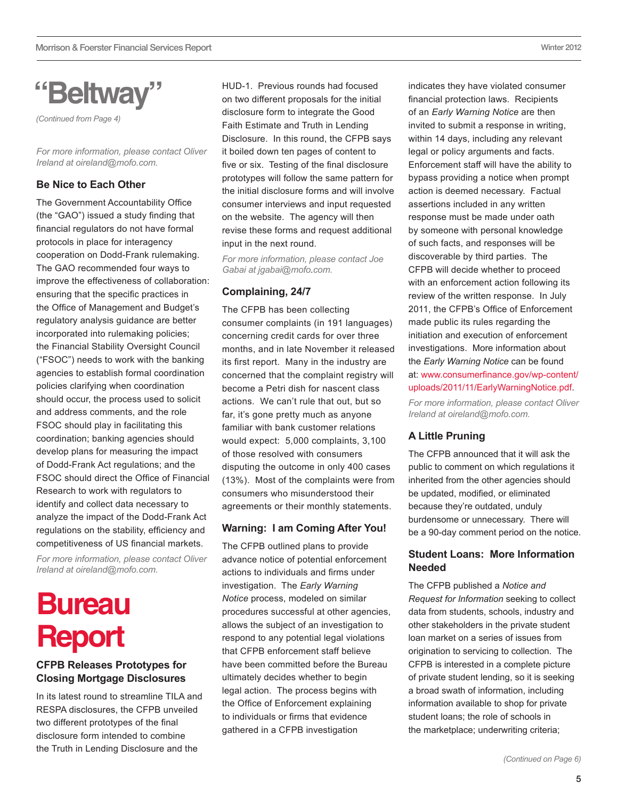<span id="page-4-0"></span>

*(Continued from Page 4)* 

*For more information, please contact Oliver Ireland at oireland@mofo.com.*

#### **Be Nice to Each Other**

The Government Accountability Office (the "GAO") issued a study finding that financial regulators do not have formal protocols in place for interagency cooperation on Dodd-Frank rulemaking. The GAO recommended four ways to improve the effectiveness of collaboration: ensuring that the specific practices in the Office of Management and Budget's regulatory analysis guidance are better incorporated into rulemaking policies; the Financial Stability Oversight Council ("FSOC") needs to work with the banking agencies to establish formal coordination policies clarifying when coordination should occur, the process used to solicit and address comments, and the role FSOC should play in facilitating this coordination; banking agencies should develop plans for measuring the impact of Dodd-Frank Act regulations; and the FSOC should direct the Office of Financial Research to work with regulators to identify and collect data necessary to analyze the impact of the Dodd-Frank Act regulations on the stability, efficiency and competitiveness of US financial markets.

*For more information, please contact Oliver Ireland at oireland@mofo.com.*

## **Bureau Report**

### **CFPB Releases Prototypes for Closing Mortgage Disclosures**

In its latest round to streamline TILA and RESPA disclosures, the CFPB unveiled two different prototypes of the final disclosure form intended to combine the Truth in Lending Disclosure and the

HUD-1. Previous rounds had focused on two different proposals for the initial disclosure form to integrate the Good Faith Estimate and Truth in Lending Disclosure. In this round, the CFPB says it boiled down ten pages of content to five or six. Testing of the final disclosure prototypes will follow the same pattern for the initial disclosure forms and will involve consumer interviews and input requested on the website. The agency will then revise these forms and request additional input in the next round.

*For more information, please contact Joe Gabai at [jgabai@mofo.com](mailto:jgabai@mofo.com).* 

#### **Complaining, 24/7**

The CFPB has been collecting consumer complaints (in 191 languages) concerning credit cards for over three months, and in late November it released its first report. Many in the industry are concerned that the complaint registry will become a Petri dish for nascent class actions. We can't rule that out, but so far, it's gone pretty much as anyone familiar with bank customer relations would expect: 5,000 complaints, 3,100 of those resolved with consumers disputing the outcome in only 400 cases (13%). Most of the complaints were from consumers who misunderstood their agreements or their monthly statements.

### **Warning: I am Coming After You!**

The CFPB outlined plans to provide [advance notice of potential enforcement](http://www.consumerfinance.gov/wp-content/uploads/2011/11/EarlyWarningNotice.pdf)  [actions](http://www.consumerfinance.gov/wp-content/uploads/2011/11/EarlyWarningNotice.pdf) to individuals and firms under investigation. The *Early Warning Notice* process, modeled on similar procedures successful at other agencies, allows the subject of an investigation to respond to any potential legal violations that CFPB enforcement staff believe have been committed before the Bureau ultimately decides whether to begin legal action. The process begins with the Office of Enforcement explaining to individuals or firms that evidence gathered in a CFPB investigation

indicates they have violated consumer financial protection laws. Recipients of an *Early Warning Notice* are then invited to submit a response in writing, within 14 days, including any relevant legal or policy arguments and facts. Enforcement staff will have the ability to bypass providing a notice when prompt action is deemed necessary. Factual assertions included in any written response must be made under oath by someone with personal knowledge of such facts, and responses will be discoverable by third parties. The CFPB will decide whether to proceed with an enforcement action following its review of the written response. In July 2011, the CFPB's Office of Enforcement made public its rules regarding the initiation and execution of enforcement investigations. More information about the *Early Warning Notice* can be found at: [www.consumerfinance.gov/wp-content/](http://www.consumerfinance.gov/wp-content/uploads/2011/11/EarlyWarningNotice.pdf) [uploads/2011/11/EarlyWarningNotice.pdf.](http://www.consumerfinance.gov/wp-content/uploads/2011/11/EarlyWarningNotice.pdf)

*For more information, please contact Oliver Ireland at oireland@mofo.com.*

### **A Little Pruning**

The CFPB announced that it will ask the public to comment on which regulations it inherited from the other agencies should be updated, modified, or eliminated because they're outdated, unduly burdensome or unnecessary. There will be a 90-day comment period on the notice.

### **Student Loans: More Information Needed**

The CFPB published a *Notice and Request for Information* seeking to collect data from students, schools, industry and other stakeholders in the private student loan market on a series of issues from origination to servicing to collection. The CFPB is interested in a complete picture of private student lending, so it is seeking a broad swath of information, including information available to shop for private student loans; the role of schools in the marketplace; underwriting criteria;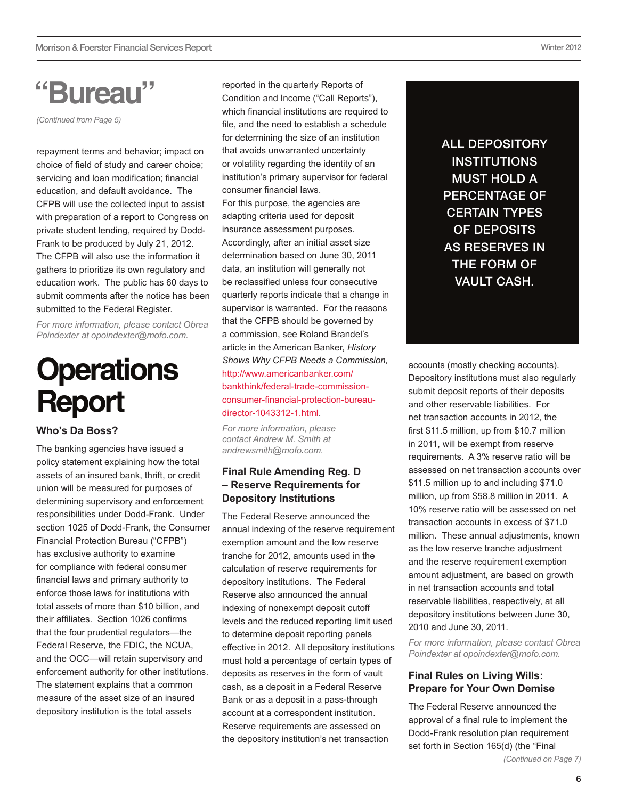## <span id="page-5-0"></span>**"Bureau"**

*(Continued from Page 5)* 

repayment terms and behavior; impact on choice of field of study and career choice; servicing and loan modification; financial education, and default avoidance. The CFPB will use the collected input to assist with preparation of a report to Congress on private student lending, required by Dodd-Frank to be produced by July 21, 2012. The CFPB will also use the information it gathers to prioritize its own regulatory and education work. The public has 60 days to submit comments after the notice has been submitted to the Federal Register.

*For more information, please contact Obrea Poindexter at [opoindexter@mofo.com](mailto:opoindexter@mofo.com).*

## **Operations Report**

**Who's Da Boss?**

The banking agencies have issued a policy statement explaining how the total assets of an insured bank, thrift, or credit union will be measured for purposes of determining supervisory and enforcement responsibilities under Dodd-Frank. Under section 1025 of Dodd-Frank, the Consumer Financial Protection Bureau ("CFPB") has exclusive authority to examine for compliance with federal consumer financial laws and primary authority to enforce those laws for institutions with total assets of more than \$10 billion, and their affiliates. Section 1026 confirms that the four prudential regulators—the Federal Reserve, the FDIC, the NCUA, and the OCC—will retain supervisory and enforcement authority for other institutions. The statement explains that a common measure of the asset size of an insured depository institution is the total assets

reported in the quarterly Reports of Condition and Income ("Call Reports"), which financial institutions are required to file, and the need to establish a schedule for determining the size of an institution that avoids unwarranted uncertainty or volatility regarding the identity of an institution's primary supervisor for federal consumer financial laws.

For this purpose, the agencies are adapting criteria used for deposit insurance assessment purposes. Accordingly, after an initial asset size determination based on June 30, 2011 data, an institution will generally not be reclassified unless four consecutive quarterly reports indicate that a change in supervisor is warranted. For the reasons that the CFPB should be governed by a commission, see Roland Brandel's article in the American Banker, *History Shows Why CFPB Needs a Commission,*  [http://www.americanbanker.com/](http://www.americanbanker.com/bankthink/federal-trade-commission-consumer-financial-protection-bureau-director-1043312-1.html ) [bankthink/federal-trade-commission](http://www.americanbanker.com/bankthink/federal-trade-commission-consumer-financial-protection-bureau-director-1043312-1.html )[consumer-financial-protection-bureau](http://www.americanbanker.com/bankthink/federal-trade-commission-consumer-financial-protection-bureau-director-1043312-1.html )[director-1043312-1.html.](http://www.americanbanker.com/bankthink/federal-trade-commission-consumer-financial-protection-bureau-director-1043312-1.html )

*For more information, please contact Andrew M. Smith at [andrewsmith@mofo.com.](file:///Users/EAT5/Desktop/JavaScript:SendMail()*

### **Final Rule Amending Reg. D – Reserve Requirements for Depository Institutions**

The Federal Reserve announced the annual indexing of the reserve requirement exemption amount and the low reserve tranche for 2012, amounts used in the calculation of reserve requirements for depository institutions. The Federal Reserve also announced the annual indexing of nonexempt deposit cutoff levels and the reduced reporting limit used to determine deposit reporting panels effective in 2012. All depository institutions must hold a percentage of certain types of deposits as reserves in the form of vault cash, as a deposit in a Federal Reserve Bank or as a deposit in a pass-through account at a correspondent institution. Reserve requirements are assessed on the depository institution's net transaction

All depository **INSTITUTIONS** must hold a percentage of certain types of deposits as reserves in the form of vault cash.

accounts (mostly checking accounts). Depository institutions must also regularly submit deposit reports of their deposits and other reservable liabilities. For net transaction accounts in 2012, the first \$11.5 million, up from \$10.7 million in 2011, will be exempt from reserve requirements. A 3% reserve ratio will be assessed on net transaction accounts over \$11.5 million up to and including \$71.0 million, up from \$58.8 million in 2011. A 10% reserve ratio will be assessed on net transaction accounts in excess of \$71.0 million. These annual adjustments, known as the low reserve tranche adjustment and the reserve requirement exemption amount adjustment, are based on growth in net transaction accounts and total reservable liabilities, respectively, at all depository institutions between June 30, 2010 and June 30, 2011.

*For more information, please contact Obrea Poindexter at opoindexter@mofo.com.*

### **Final Rules on Living Wills: Prepare for Your Own Demise**

The Federal Reserve announced the approval of a final rule to implement the Dodd-Frank resolution plan requirement set forth in Section 165(d) (the "Final

*(Continued on Page 7)*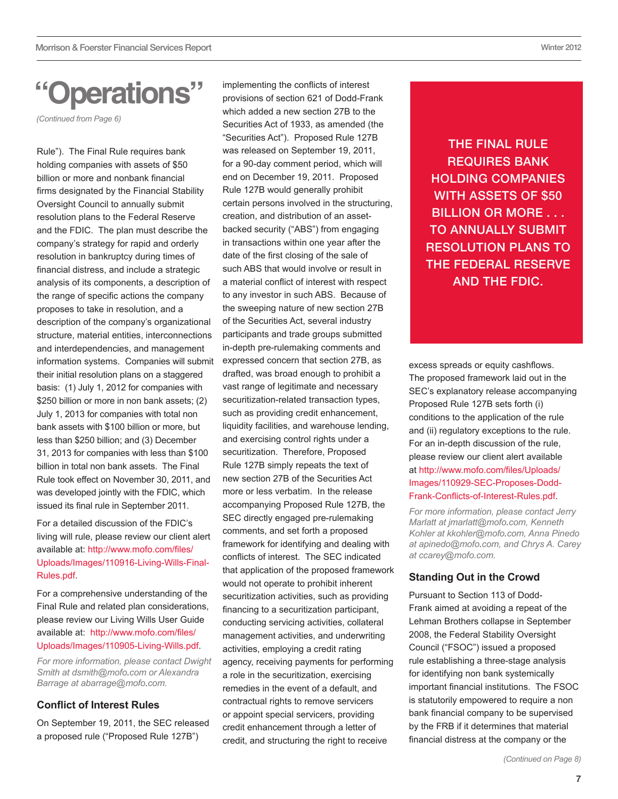## **"Operations"**

*(Continued from Page 6)* 

Rule"). The Final Rule requires bank holding companies with assets of \$50 billion or more and nonbank financial firms designated by the Financial Stability Oversight Council to annually submit resolution plans to the Federal Reserve and the FDIC. The plan must describe the company's strategy for rapid and orderly resolution in bankruptcy during times of financial distress, and include a strategic analysis of its components, a description of the range of specific actions the company proposes to take in resolution, and a description of the company's organizational structure, material entities, interconnections and interdependencies, and management information systems. Companies will submit their initial resolution plans on a staggered basis: (1) July 1, 2012 for companies with \$250 billion or more in non bank assets; (2) July 1, 2013 for companies with total non bank assets with \$100 billion or more, but less than \$250 billion; and (3) December 31, 2013 for companies with less than \$100 billion in total non bank assets. The Final Rule took effect on November 30, 2011, and was developed jointly with the FDIC, which issued its final rule in September 2011.

For a detailed discussion of the FDIC's living will rule, please review our client alert available at: [http://www.mofo.com/files/](http://www.mofo.com/files/Uploads/Images/110916-Living-Wills-Final-Rules.pdf ) [Uploads/Images/110916-Living-Wills-Final-](http://www.mofo.com/files/Uploads/Images/110916-Living-Wills-Final-Rules.pdf )[Rules.pdf.](http://www.mofo.com/files/Uploads/Images/110916-Living-Wills-Final-Rules.pdf )

For a comprehensive understanding of the Final Rule and related plan considerations, please review our Living Wills User Guide available at: [http://www.mofo.com/files/](http://www.mofo.com/files/Uploads/Images/110905-Living-Wills.pdf) [Uploads/Images/110905-Living-Wills.pdf.](http://www.mofo.com/files/Uploads/Images/110905-Living-Wills.pdf)

*For more information, please contact Dwight Smith at [dsmith@mofo.com](mailto:dsmith@mofo.com) or Alexandra Barrage at [abarrage@mofo.com](mailto:abarrage@mofo.com).*

## **Conflict of Interest Rules**

On September 19, 2011, the SEC released a proposed rule ("Proposed Rule 127B")

implementing the conflicts of interest provisions of section 621 of Dodd-Frank which added a new section 27B to the Securities Act of 1933, as amended (the "Securities Act"). Proposed Rule 127B was released on September 19, 2011, for a 90-day comment period, which will end on December 19, 2011. Proposed Rule 127B would generally prohibit certain persons involved in the structuring, creation, and distribution of an assetbacked security ("ABS") from engaging in transactions within one year after the date of the first closing of the sale of such ABS that would involve or result in a material conflict of interest with respect to any investor in such ABS. Because of the sweeping nature of new section 27B of the Securities Act, several industry participants and trade groups submitted in-depth pre-rulemaking comments and expressed concern that section 27B, as drafted, was broad enough to prohibit a vast range of legitimate and necessary securitization-related transaction types, such as providing credit enhancement. liquidity facilities, and warehouse lending, and exercising control rights under a securitization. Therefore, Proposed Rule 127B simply repeats the text of new section 27B of the Securities Act more or less verbatim. In the release accompanying Proposed Rule 127B, the SEC directly engaged pre-rulemaking comments, and set forth a proposed framework for identifying and dealing with conflicts of interest. The SEC indicated that application of the proposed framework would not operate to prohibit inherent securitization activities, such as providing financing to a securitization participant, conducting servicing activities, collateral management activities, and underwriting activities, employing a credit rating agency, receiving payments for performing a role in the securitization, exercising remedies in the event of a default, and contractual rights to remove servicers or appoint special servicers, providing credit enhancement through a letter of credit, and structuring the right to receive

The Final Rule requires bank holding companies WITH ASSETS OF \$50 billion or more . . . to annually submit resolution plans to the Federal Reserve and the FDIC.

excess spreads or equity cashflows. The proposed framework laid out in the SEC's explanatory release accompanying Proposed Rule 127B sets forth (i) conditions to the application of the rule and (ii) regulatory exceptions to the rule. For an in-depth discussion of the rule, please review our client alert available at [http://www.mofo.com/files/Uploads/](http://www.mofo.com/files/Uploads/Images/110929-SEC-Proposes-Dodd-Frank-Conflicts-of-Interest-Rules.pdf) [Images/110929-SEC-Proposes-Dodd-](http://www.mofo.com/files/Uploads/Images/110929-SEC-Proposes-Dodd-Frank-Conflicts-of-Interest-Rules.pdf)[Frank-Conflicts-of-Interest-Rules.pdf](http://www.mofo.com/files/Uploads/Images/110929-SEC-Proposes-Dodd-Frank-Conflicts-of-Interest-Rules.pdf).

*For more information, please contact Jerry Marlatt at [jmarlatt@mofo.com,](mailto:jmarlatt@mofo.com) Kenneth Kohler at [kkohler@mofo.com](mailto:kkohler@mofo.com), Anna Pinedo at [apinedo@mofo.com](mailto:apinedo@mofo.com), and Chrys A. Carey at [ccarey@mofo.com.](mailto:ccarey@mofo.com)* 

## **Standing Out in the Crowd**

Pursuant to Section 113 of Dodd-Frank aimed at avoiding a repeat of the Lehman Brothers collapse in September 2008, the Federal Stability Oversight Council ("FSOC") issued a [proposed](http://www.gpo.gov/fdsys/pkg/FR-2011-10-18/pdf/2011-26783.pdf)  [rule](http://www.gpo.gov/fdsys/pkg/FR-2011-10-18/pdf/2011-26783.pdf) establishing a three-stage analysis for identifying non bank systemically important financial institutions. The FSOC is statutorily empowered to require a non bank financial company to be supervised by the FRB if it determines that material financial distress at the company or the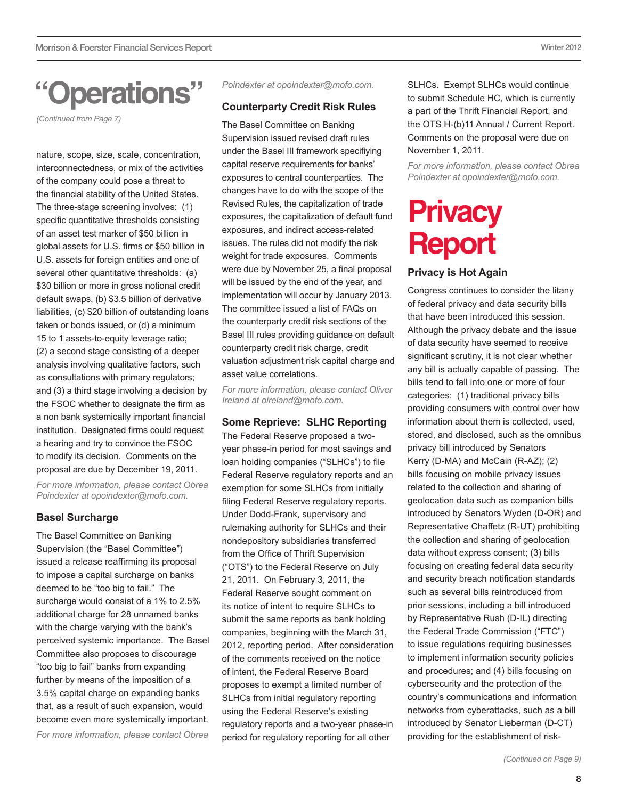## <span id="page-7-0"></span>**"Operations"**

*(Continued from Page 7)* 

nature, scope, size, scale, concentration, interconnectedness, or mix of the activities of the company could pose a threat to the financial stability of the United States. The three-stage screening involves: (1) specific quantitative thresholds consisting of an asset test marker of \$50 billion in global assets for U.S. firms or \$50 billion in U.S. assets for foreign entities and one of several other quantitative thresholds: (a) \$30 billion or more in gross notional credit default swaps, (b) \$3.5 billion of derivative liabilities, (c) \$20 billion of outstanding loans taken or bonds issued, or (d) a minimum 15 to 1 assets-to-equity leverage ratio; (2) a second stage consisting of a deeper analysis involving qualitative factors, such as consultations with primary regulators; and (3) a third stage involving a decision by the FSOC whether to designate the firm as a non bank systemically important financial institution. Designated firms could request a hearing and try to convince the FSOC to modify its decision. Comments on the proposal are due by December 19, 2011. *For more information, please contact Obrea* 

*Poindexter at opoindexter@mofo.com.*

### **Basel Surcharge**

The Basel Committee on Banking Supervision (the "Basel Committee") issued a [release](http://www.bis.org/press/p110928.htm) reaffirming its proposal to impose a capital surcharge on banks deemed to be "too big to fail." The surcharge would consist of a 1% to 2.5% additional charge for 28 unnamed banks with the charge varying with the bank's perceived systemic importance. The Basel Committee also proposes to discourage "too big to fail" banks from expanding further by means of the imposition of a 3.5% capital charge on expanding banks that, as a result of such expansion, would become even more systemically important. *For more information, please contact Obrea* 

*Poindexter at opoindexter@mofo.com.*

### **Counterparty Credit Risk Rules**

The Basel Committee on Banking Supervision issued revised draft rules under the Basel III framework specifiying capital reserve requirements for banks' exposures to central counterparties. The changes have to do with the scope of the Revised Rules, the capitalization of trade exposures, the capitalization of default fund exposures, and indirect access-related issues. The rules did not modify the risk weight for trade exposures. Comments were due by November 25, a final proposal will be issued by the end of the year, and implementation will occur by January 2013. The committee issued a list of FAQs on the counterparty credit risk sections of the Basel III rules providing guidance on default counterparty credit risk charge, credit valuation adjustment risk capital charge and asset value correlations.

*For more information, please contact Oliver Ireland at oireland@mofo.com.*

## **Some Reprieve: SLHC Reporting**

The Federal Reserve proposed a twoyear phase-in period for most savings and loan holding companies ("SLHCs") to file Federal Reserve regulatory reports and an exemption for some SLHCs from initially filing Federal Reserve regulatory reports. Under Dodd-Frank, supervisory and rulemaking authority for SLHCs and their nondepository subsidiaries transferred from the Office of Thrift Supervision ("OTS") to the Federal Reserve on July 21, 2011. On February 3, 2011, the Federal Reserve sought comment on its notice of intent to require SLHCs to submit the same reports as bank holding companies, beginning with the March 31, 2012, reporting period. After consideration of the comments received on the notice of intent, the Federal Reserve Board proposes to exempt a limited number of SLHCs from initial regulatory reporting using the Federal Reserve's existing regulatory reports and a two-year phase-in period for regulatory reporting for all other

SLHCs. Exempt SLHCs would continue to submit Schedule HC, which is currently a part of the Thrift Financial Report, and the OTS H-(b)11 Annual / Current Report. Comments on the proposal were due on November 1, 2011.

*For more information, please contact Obrea Poindexter at opoindexter@mofo.com.*

## **Privacy Report**

## **Privacy is Hot Again**

Congress continues to consider the litany of federal privacy and data security bills that have been introduced this session. Although the privacy debate and the issue of data security have seemed to receive significant scrutiny, it is not clear whether any bill is actually capable of passing. The bills tend to fall into one or more of four categories: (1) traditional privacy bills providing consumers with control over how information about them is collected, used, stored, and disclosed, such as the omnibus privacy bill introduced by Senators Kerry (D-MA) and McCain (R-AZ); (2) bills focusing on mobile privacy issues related to the collection and sharing of geolocation data such as companion bills introduced by Senators Wyden (D-OR) and Representative Chaffetz (R-UT) prohibiting the collection and sharing of geolocation data without express consent; (3) bills focusing on creating federal data security and security breach notification standards such as several bills reintroduced from prior sessions, including a bill introduced by Representative Rush (D-IL) directing the Federal Trade Commission ("FTC") to issue regulations requiring businesses to implement information security policies and procedures; and (4) bills focusing on cybersecurity and the protection of the country's communications and information networks from cyberattacks, such as a bill introduced by Senator Lieberman (D-CT) providing for the establishment of risk-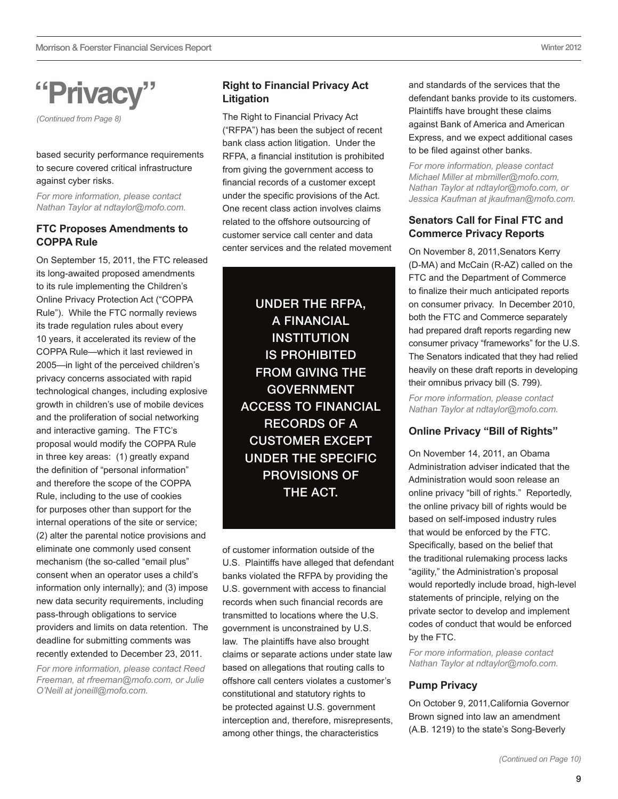## **"Privacy"**

*(Continued from Page 8)* 

based security performance requirements to secure covered critical infrastructure against cyber risks.

*For more information, please contact Nathan Taylor at ndtaylor@mofo.com.*

### **FTC Proposes Amendments to COPPA Rule**

On September 15, 2011, the FTC released its long-awaited proposed amendments to its rule implementing the Children's Online Privacy Protection Act ("COPPA Rule"). While the FTC normally reviews its trade regulation rules about every 10 years, it accelerated its review of the COPPA Rule—which it last reviewed in 2005—in light of the perceived children's privacy concerns associated with rapid technological changes, including explosive growth in children's use of mobile devices and the proliferation of social networking and interactive gaming. The FTC's proposal would modify the COPPA Rule in three key areas: (1) greatly expand the definition of "personal information" and therefore the scope of the COPPA Rule, including to the use of cookies for purposes other than support for the internal operations of the site or service; (2) alter the parental notice provisions and eliminate one commonly used consent mechanism (the so-called "email plus" consent when an operator uses a child's information only internally); and (3) impose new data security requirements, including pass-through obligations to service providers and limits on data retention. The deadline for submitting comments was recently extended to December 23, 2011.

*For more information, please contact Reed Freeman, at rfreeman@mofo.com, or Julie O'Neill at joneill@mofo.com.*

## **Right to Financial Privacy Act Litigation**

The Right to Financial Privacy Act ("RFPA") has been the subject of recent bank class action litigation. Under the RFPA, a financial institution is prohibited from giving the government access to financial records of a customer except under the specific provisions of the Act. One recent class action involves claims related to the offshore outsourcing of customer service call center and data center services and the related movement

> Under the RFPA, a financial **INSTITUTION** is prohibited from giving the **GOVERNMENT** access to financial records of a customer except under the specific provisions of THE ACT.

of customer information outside of the U.S. Plaintiffs have alleged that defendant banks violated the RFPA by providing the U.S. government with access to financial records when such financial records are transmitted to locations where the U.S. government is unconstrained by U.S. law. The plaintiffs have also brought claims or separate actions under state law based on allegations that routing calls to offshore call centers violates a customer's constitutional and statutory rights to be protected against U.S. government interception and, therefore, misrepresents, among other things, the characteristics

and standards of the services that the defendant banks provide to its customers. Plaintiffs have brought these claims against Bank of America and American Express, and we expect additional cases to be filed against other banks.

*For more information, please contact Michael Miller at mbmiller@mofo.com, Nathan Taylor at ndtaylor@mofo.com, or Jessica Kaufman at jkaufman@mofo.com.*

## **Senators Call for Final FTC and Commerce Privacy Reports**

On November 8, 2011,Senators Kerry (D-MA) and McCain (R-AZ) called on the FTC and the Department of Commerce to finalize their much anticipated reports on consumer privacy. In December 2010, both the FTC and Commerce separately had prepared draft reports regarding new consumer privacy "frameworks" for the U.S. The Senators indicated that they had relied heavily on these draft reports in developing their omnibus privacy bill (S. 799).

*For more information, please contact Nathan Taylor at ndtaylor@mofo.com.*

## **Online Privacy "Bill of Rights"**

On November 14, 2011, an Obama Administration adviser indicated that the Administration would soon release an online privacy "bill of rights." Reportedly, the online privacy bill of rights would be based on self-imposed industry rules that would be enforced by the FTC. Specifically, based on the belief that the traditional rulemaking process lacks "agility," the Administration's proposal would reportedly include broad, high-level statements of principle, relying on the private sector to develop and implement codes of conduct that would be enforced by the FTC.

*For more information, please contact Nathan Taylor at [ndtaylor@mofo.com.](mailto:ndtaylor@mofo.com)*

## **Pump Privacy**

On October 9, 2011,California Governor Brown signed into law an amendment (A.B. 1219) to the state's Song-Beverly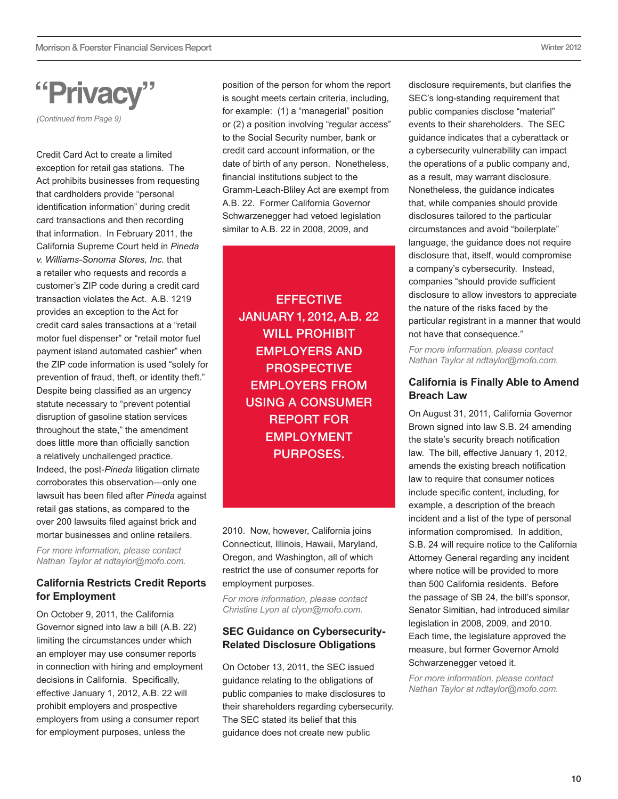## **"Privacy"**

*(Continued from Page 9)* 

Credit Card Act to create a limited exception for retail gas stations. The Act prohibits businesses from requesting that cardholders provide "personal identification information" during credit card transactions and then recording that information. In February 2011, the California Supreme Court held in *Pineda v. Williams-Sonoma Stores, Inc.* that a retailer who requests and records a customer's ZIP code during a credit card transaction violates the Act. A.B. 1219 provides an exception to the Act for credit card sales transactions at a "retail motor fuel dispenser" or "retail motor fuel payment island automated cashier" when the ZIP code information is used "solely for prevention of fraud, theft, or identity theft." Despite being classified as an urgency statute necessary to "prevent potential disruption of gasoline station services throughout the state," the amendment does little more than officially sanction a relatively unchallenged practice. Indeed, the post-*Pineda* litigation climate corroborates this observation—only one lawsuit has been filed after *Pineda* against retail gas stations, as compared to the over 200 lawsuits filed against brick and mortar businesses and online retailers.

*For more information, please contact Nathan Taylor at ndtaylor@mofo.com.*

## **California Restricts Credit Reports for Employment**

On October 9, 2011, the California Governor signed into law a bill (A.B. 22) limiting the circumstances under which an employer may use consumer reports in connection with hiring and employment decisions in California. Specifically, effective January 1, 2012, A.B. 22 will prohibit employers and prospective employers from using a consumer report for employment purposes, unless the

position of the person for whom the report is sought meets certain criteria, including, for example: (1) a "managerial" position or (2) a position involving "regular access" to the Social Security number, bank or credit card account information, or the date of birth of any person. Nonetheless, financial institutions subject to the Gramm-Leach-Bliley Act are exempt from A.B. 22. Former California Governor Schwarzenegger had vetoed legislation similar to A.B. 22 in 2008, 2009, and

**EFFECTIVE** January 1, 2012, A.B. 22 WILL PROHIBIT employers and **PROSPECTIVE** employers from using a consumer report for **EMPLOYMENT** purposes.

2010. Now, however, California joins Connecticut, Illinois, Hawaii, Maryland, Oregon, and Washington, all of which restrict the use of consumer reports for employment purposes.

*For more information, please contact Christine Lyon at clyon@mofo.com.*

### **SEC Guidance on Cybersecurity-Related Disclosure Obligations**

On October 13, 2011, the SEC issued guidance relating to the obligations of public companies to make disclosures to their shareholders regarding cybersecurity. The SEC stated its belief that this guidance does not create new public

disclosure requirements, but clarifies the SEC's long-standing requirement that public companies disclose "material" events to their shareholders. The SEC guidance indicates that a cyberattack or a cybersecurity vulnerability can impact the operations of a public company and, as a result, may warrant disclosure. Nonetheless, the guidance indicates that, while companies should provide disclosures tailored to the particular circumstances and avoid "boilerplate" language, the guidance does not require disclosure that, itself, would compromise a company's cybersecurity. Instead, companies "should provide sufficient disclosure to allow investors to appreciate the nature of the risks faced by the particular registrant in a manner that would not have that consequence."

*For more information, please contact Nathan Taylor at ndtaylor@mofo.com.*

## **California is Finally Able to Amend Breach Law**

On August 31, 2011, California Governor Brown signed into law S.B. 24 amending the state's security breach notification law. The bill, effective January 1, 2012, amends the existing breach notification law to require that consumer notices include specific content, including, for example, a description of the breach incident and a list of the type of personal information compromised. In addition, S.B. 24 will require notice to the California Attorney General regarding any incident where notice will be provided to more than 500 California residents. Before the passage of SB 24, the bill's sponsor, Senator Simitian, had introduced similar legislation in 2008, 2009, and 2010. Each time, the legislature approved the measure, but former Governor Arnold Schwarzenegger vetoed it.

*For more information, please contact Nathan Taylor at ndtaylor@mofo.com.*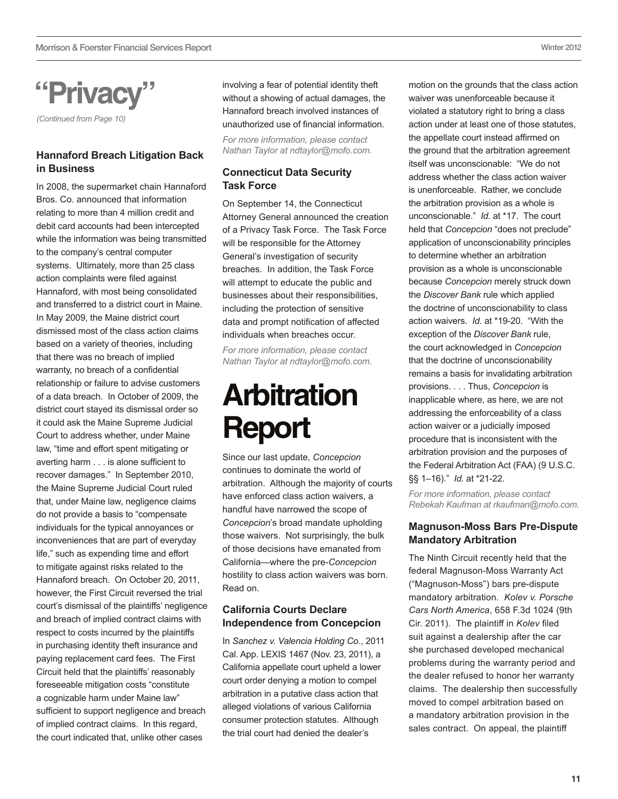<span id="page-10-0"></span>**"Privacy"**

*(Continued from Page 10)* 

### **Hannaford Breach Litigation Back in Business**

In 2008, the supermarket chain Hannaford Bros. Co. announced that information relating to more than 4 million credit and debit card accounts had been intercepted while the information was being transmitted to the company's central computer systems. Ultimately, more than 25 class action complaints were filed against Hannaford, with most being consolidated and transferred to a district court in Maine. In May 2009, the Maine district court dismissed most of the class action claims based on a variety of theories, including that there was no breach of implied warranty, no breach of a confidential relationship or failure to advise customers of a data breach. In October of 2009, the district court stayed its dismissal order so it could ask the Maine Supreme Judicial Court to address whether, under Maine law, "time and effort spent mitigating or averting harm . . . is alone sufficient to recover damages." In September 2010, the Maine Supreme Judicial Court ruled that, under Maine law, negligence claims do not provide a basis to "compensate individuals for the typical annoyances or inconveniences that are part of everyday life," such as expending time and effort to mitigate against risks related to the Hannaford breach. On October 20, 2011, however, the First Circuit reversed the trial court's dismissal of the plaintiffs' negligence and breach of implied contract claims with respect to costs incurred by the plaintiffs in purchasing identity theft insurance and paying replacement card fees. The First Circuit held that the plaintiffs' reasonably foreseeable mitigation costs "constitute a cognizable harm under Maine law" sufficient to support negligence and breach of implied contract claims. In this regard, the court indicated that, unlike other cases

involving a fear of potential identity theft without a showing of actual damages, the Hannaford breach involved instances of unauthorized use of financial information.

*For more information, please contact Nathan Taylor at ndtaylor@mofo.com.*

### **Connecticut Data Security Task Force**

On September 14, the Connecticut Attorney General announced the creation of a Privacy Task Force. The Task Force will be responsible for the Attorney General's investigation of security breaches. In addition, the Task Force will attempt to educate the public and businesses about their responsibilities, including the protection of sensitive data and prompt notification of affected individuals when breaches occur.

*For more information, please contact Nathan Taylor at ndtaylor@mofo.com.*

## **Arbitration Report**

Since our last update, *Concepcion* continues to dominate the world of arbitration. Although the majority of courts have enforced class action waivers, a handful have narrowed the scope of *Concepcion*'s broad mandate upholding those waivers. Not surprisingly, the bulk of those decisions have emanated from California—where the pre-*Concepcion* hostility to class action waivers was born. Read on.

## **California Courts Declare Independence from Concepcion**

In *Sanchez v. Valencia Holding Co.*, 2011 Cal. App. LEXIS 1467 (Nov. 23, 2011), a California appellate court upheld a lower court order denying a motion to compel arbitration in a putative class action that alleged violations of various California consumer protection statutes. Although the trial court had denied the dealer's

motion on the grounds that the class action waiver was unenforceable because it violated a statutory right to bring a class action under at least one of those statutes, the appellate court instead affirmed on the ground that the arbitration agreement itself was unconscionable: "We do not address whether the class action waiver is unenforceable. Rather, we conclude the arbitration provision as a whole is unconscionable." *Id.* at \*17. The court held that *Concepcion* "does not preclude" application of unconscionability principles to determine whether an arbitration provision as a whole is unconscionable because *Concepcion* merely struck down the *Discover Bank* rule which applied the doctrine of unconscionability to class action waivers. *Id.* at \*19-20. "With the exception of the *Discover Bank* rule, the court acknowledged in *Concepcion* that the doctrine of unconscionability remains a basis for invalidating arbitration provisions. . . . Thus, *Concepcion* is inapplicable where, as here, we are not addressing the enforceability of a class action waiver or a judicially imposed procedure that is inconsistent with the arbitration provision and the purposes of the Federal Arbitration Act (FAA) (9 U.S.C. §§ 1–16)." *Id.* at \*21-22.

*For more information, please contact Rebekah Kaufman at rkaufman@mofo.com.*

### **Magnuson-Moss Bars Pre-Dispute Mandatory Arbitration**

The Ninth Circuit recently held that the federal Magnuson-Moss Warranty Act ("Magnuson-Moss") bars pre-dispute mandatory arbitration. *Kolev v. Porsche Cars North America*, 658 F.3d 1024 (9th Cir. 2011). The plaintiff in *Kolev* filed suit against a dealership after the car she purchased developed mechanical problems during the warranty period and the dealer refused to honor her warranty claims. The dealership then successfully moved to compel arbitration based on a mandatory arbitration provision in the sales contract. On appeal, the plaintiff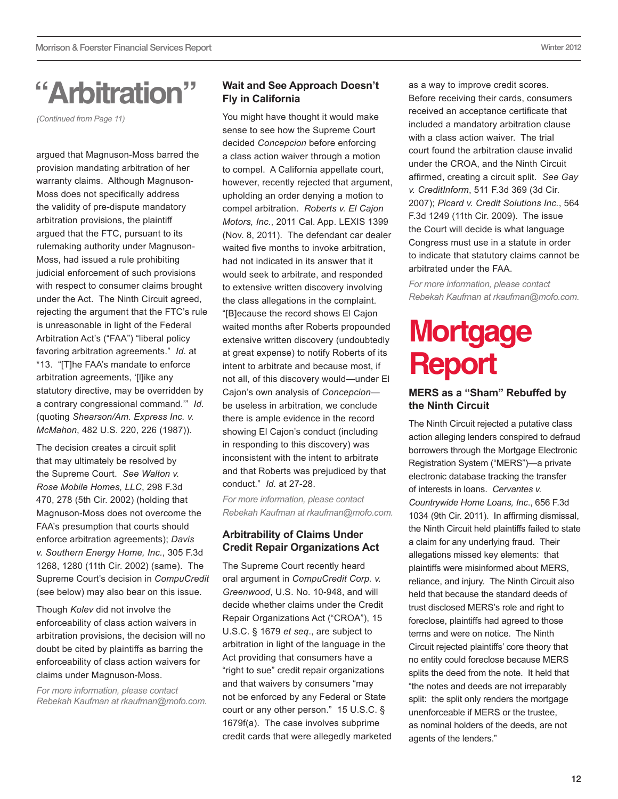## <span id="page-11-0"></span>**"Arbitration"**

*(Continued from Page 11)* 

argued that Magnuson-Moss barred the provision mandating arbitration of her warranty claims. Although Magnuson-Moss does not specifically address the validity of pre-dispute mandatory arbitration provisions, the plaintiff argued that the FTC, pursuant to its rulemaking authority under Magnuson-Moss, had issued a rule prohibiting judicial enforcement of such provisions with respect to consumer claims brought under the Act. The Ninth Circuit agreed, rejecting the argument that the FTC's rule is unreasonable in light of the Federal Arbitration Act's ("FAA") "liberal policy favoring arbitration agreements." *Id.* at \*13. "[T]he FAA's mandate to enforce arbitration agreements, '[l]ike any statutory directive, may be overridden by a contrary congressional command.'" *Id.* (quoting *Shearson/Am. Express Inc. v. McMahon*, 482 U.S. 220, 226 (1987)).

The decision creates a circuit split that may ultimately be resolved by the Supreme Court. *See Walton v. Rose Mobile Homes, LLC*, 298 F.3d 470, 278 (5th Cir. 2002) (holding that Magnuson-Moss does not overcome the FAA's presumption that courts should enforce arbitration agreements); *Davis v. Southern Energy Home, Inc.*, 305 F.3d 1268, 1280 (11th Cir. 2002) (same).The Supreme Court's decision in *CompuCredit* (see below) may also bear on this issue.

Though *Kolev* did not involve the enforceability of class action waivers in arbitration provisions, the decision will no doubt be cited by plaintiffs as barring the enforceability of class action waivers for claims under Magnuson-Moss.

*For more information, please contact Rebekah Kaufman at rkaufman@mofo.com.*

## **Wait and See Approach Doesn't Fly in California**

You might have thought it would make sense to see how the Supreme Court decided *Concepcion* before enforcing a class action waiver through a motion to compel. A California appellate court, however, recently rejected that argument, upholding an order denying a motion to compel arbitration. *Roberts v. El Cajon Motors, Inc.*, 2011 Cal. App. LEXIS 1399 (Nov. 8, 2011). The defendant car dealer waited five months to invoke arbitration, had not indicated in its answer that it would seek to arbitrate, and responded to extensive written discovery involving the class allegations in the complaint. "[B]ecause the record shows El Cajon waited months after Roberts propounded extensive written discovery (undoubtedly at great expense) to notify Roberts of its intent to arbitrate and because most, if not all, of this discovery would—under El Cajon's own analysis of *Concepcion* be useless in arbitration, we conclude there is ample evidence in the record showing El Cajon's conduct (including in responding to this discovery) was inconsistent with the intent to arbitrate and that Roberts was prejudiced by that conduct." *Id.* at 27-28.

*For more information, please contact Rebekah Kaufman at rkaufman@mofo.com.*

## **Arbitrability of Claims Under Credit Repair Organizations Act**

The Supreme Court recently heard oral argument in *CompuCredit Corp. v. Greenwood*, U.S. No. 10-948, and will decide whether claims under the Credit Repair Organizations Act ("CROA"), 15 U.S.C. § 1679 *et seq*., are subject to arbitration in light of the language in the Act providing that consumers have a "right to sue" credit repair organizations and that waivers by consumers "may not be enforced by any Federal or State court or any other person." 15 U.S.C. § 1679f(a). The case involves subprime credit cards that were allegedly marketed

as a way to improve credit scores. Before receiving their cards, consumers received an acceptance certificate that included a mandatory arbitration clause with a class action waiver. The trial court found the arbitration clause invalid under the CROA, and the Ninth Circuit affirmed, creating a circuit split. *See Gay v. CreditInform*, 511 F.3d 369 (3d Cir. 2007); *Picard v. Credit Solutions Inc.*, 564 F.3d 1249 (11th Cir. 2009). The issue the Court will decide is what language Congress must use in a statute in order to indicate that statutory claims cannot be arbitrated under the FAA.

*For more information, please contact Rebekah Kaufman at rkaufman@mofo.com.*

## **Mortgage Report**

### **MERS as a "Sham" Rebuffed by the Ninth Circuit**

The Ninth Circuit rejected a putative class action alleging lenders conspired to defraud borrowers through the Mortgage Electronic Registration System ("MERS")—a private electronic database tracking the transfer of interests in loans. *Cervantes v. Countrywide Home Loans, Inc*., 656 F.3d 1034 (9th Cir. 2011). In affirming dismissal, the Ninth Circuit held plaintiffs failed to state a claim for any underlying fraud. Their allegations missed key elements: that plaintiffs were misinformed about MERS, reliance, and injury. The Ninth Circuit also held that because the standard deeds of trust disclosed MERS's role and right to foreclose, plaintiffs had agreed to those terms and were on notice. The Ninth Circuit rejected plaintiffs' core theory that no entity could foreclose because MERS splits the deed from the note. It held that "the notes and deeds are not irreparably split: the split only renders the mortgage unenforceable if MERS or the trustee, as nominal holders of the deeds, are not agents of the lenders."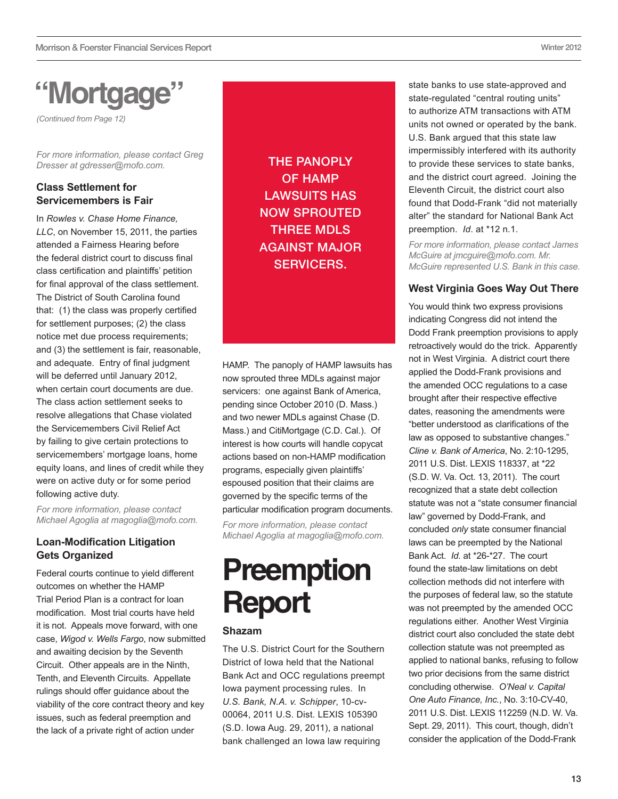## <span id="page-12-0"></span>**"Mortgage"**

*(Continued from Page 12)* 

*For more information, please contact Greg Dresser at [gdresser@mofo.com](mailto:gdresser@mofo.com).* 

## **Class Settlement for Servicemembers is Fair**

In *Rowles v. Chase Home Finance, LLC*, on November 15, 2011, the parties attended a Fairness Hearing before the federal district court to discuss final class certification and plaintiffs' petition for final approval of the class settlement. The District of South Carolina found that: (1) the class was properly certified for settlement purposes; (2) the class notice met due process requirements; and (3) the settlement is fair, reasonable, and adequate. Entry of final judgment will be deferred until January 2012. when certain court documents are due. The class action settlement seeks to resolve allegations that Chase violated the Servicemembers Civil Relief Act by failing to give certain protections to servicemembers' mortgage loans, home equity loans, and lines of credit while they were on active duty or for some period following active duty.

*For more information, please contact Michael Agoglia at [magoglia@mofo.com.](mailto:magoglia@mofo.com)*

## **Loan-Modification Litigation Gets Organized**

Federal courts continue to yield different outcomes on whether the HAMP Trial Period Plan is a contract for loan modification. Most trial courts have held it is not. Appeals move forward, with one case, *Wigod v. Wells Fargo*, now submitted and awaiting decision by the Seventh Circuit. Other appeals are in the Ninth, Tenth, and Eleventh Circuits. Appellate rulings should offer guidance about the viability of the core contract theory and key issues, such as federal preemption and the lack of a private right of action under

The panoply of HAMP LAWSUITS HAS now sprouted three MDLs against major servicers.

HAMP. The panoply of HAMP lawsuits has now sprouted three MDLs against major servicers: one against Bank of America, pending since October 2010 (D. Mass.) and two newer MDLs against Chase (D. Mass.) and CitiMortgage (C.D. Cal.). Of interest is how courts will handle copycat actions based on non-HAMP modification programs, especially given plaintiffs' espoused position that their claims are governed by the specific terms of the particular modification program documents.

*For more information, please contact Michael Agoglia at [magoglia@mofo.com](mailto:magoglia@mofo.com).*

## **Preemption Report**

### **Shazam**

The U.S. District Court for the Southern District of Iowa held that the National Bank Act and OCC regulations preempt Iowa payment processing rules. In *U.S. Bank, N.A. v. Schipper*, 10-cv-00064, 2011 U.S. Dist. LEXIS 105390 (S.D. Iowa Aug. 29, 2011), a national bank challenged an Iowa law requiring

state banks to use state-approved and state-regulated "central routing units" to authorize ATM transactions with ATM units not owned or operated by the bank. U.S. Bank argued that this state law impermissibly interfered with its authority to provide these services to state banks, and the district court agreed. Joining the Eleventh Circuit, the district court also found that Dodd-Frank "did not materially alter" the standard for National Bank Act preemption. *Id*. at \*12 n.1.

*For more information, please contact James McGuire at [jmcguire@mofo.com](mailto:jmcguire@mofo.com). Mr. McGuire represented U.S. Bank in this case.*

### **West Virginia Goes Way Out There**

You would think two express provisions indicating Congress did not intend the Dodd Frank preemption provisions to apply retroactively would do the trick. Apparently not in West Virginia. A district court there applied the Dodd-Frank provisions and the amended OCC regulations to a case brought after their respective effective dates, reasoning the amendments were "better understood as clarifications of the law as opposed to substantive changes." *Cline v. Bank of America*, No. 2:10-1295, 2011 U.S. Dist. LEXIS 118337, at \*22 (S.D. W. Va. Oct. 13, 2011). The court recognized that a state debt collection statute was not a "state consumer financial law" governed by Dodd-Frank, and concluded *only* state consumer financial laws can be preempted by the National Bank Act. *Id.* at \*26-\*27. The court found the state-law limitations on debt collection methods did not interfere with the purposes of federal law, so the statute was not preempted by the amended OCC regulations either. Another West Virginia district court also concluded the state debt collection statute was not preempted as applied to national banks, refusing to follow two prior decisions from the same district concluding otherwise. *O'Neal v. Capital One Auto Finance, Inc.*, No. 3:10-CV-40, 2011 U.S. Dist. LEXIS 112259 (N.D. W. Va. Sept. 29, 2011). This court, though, didn't consider the application of the Dodd-Frank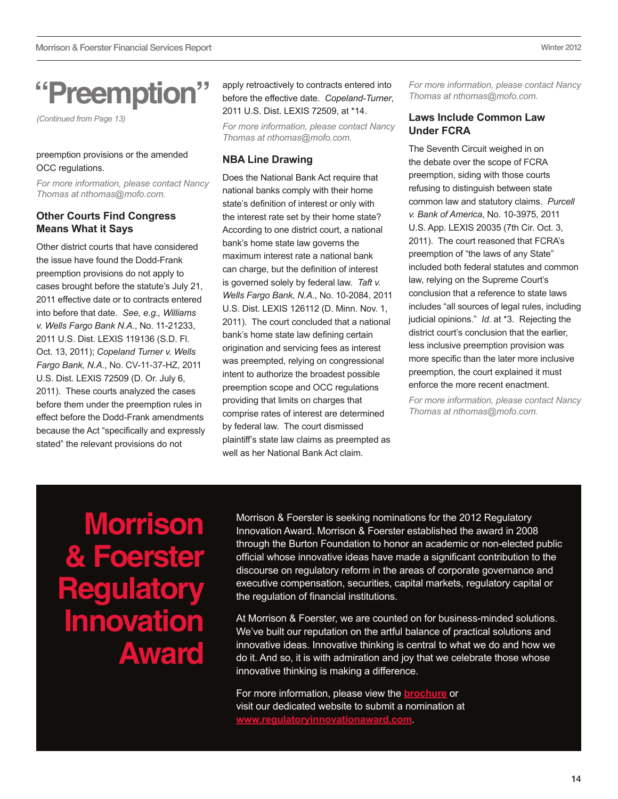## **"Preemption"**

*(Continued from Page 13)* 

#### preemption provisions or the amended OCC regulations.

*For more information, please contact Nancy Thomas at nthomas@mofo.com.*

### **Other Courts Find Congress Means What it Says**

Other district courts that have considered the issue have found the Dodd-Frank preemption provisions do not apply to cases brought before the statute's July 21, 2011 effective date or to contracts entered into before that date. *See, e.g., Williams v. Wells Fargo Bank N.A.*, No. 11-21233, 2011 U.S. Dist. LEXIS 119136 (S.D. Fl. Oct. 13, 2011); *Copeland Turner v. Wells Fargo Bank, N.A.*, No. CV-11-37-HZ, 2011 U.S. Dist. LEXIS 72509 (D. Or. July 6, 2011). These courts analyzed the cases before them under the preemption rules in effect before the Dodd-Frank amendments because the Act "specifically and expressly stated" the relevant provisions do not

apply retroactively to contracts entered into before the effective date. *Copeland-Turner*, 2011 U.S. Dist. LEXIS 72509, at \*14.

*For more information, please contact Nancy Thomas at nthomas@mofo.com.*

#### **NBA Line Drawing**

Does the National Bank Act require that national banks comply with their home state's definition of interest or only with the interest rate set by their home state? According to one district court, a national bank's home state law governs the maximum interest rate a national bank can charge, but the definition of interest is governed solely by federal law. *Taft v. Wells Fargo Bank, N.A.*, No. 10-2084, 2011 U.S. Dist. LEXIS 126112 (D. Minn. Nov. 1, 2011). The court concluded that a national bank's home state law defining certain origination and servicing fees as interest was preempted, relying on congressional intent to authorize the broadest possible preemption scope and OCC regulations providing that limits on charges that comprise rates of interest are determined by federal law. The court dismissed plaintiff's state law claims as preempted as well as her National Bank Act claim.

*For more information, please contact Nancy Thomas at nthomas@mofo.com.*

### **Laws Include Common Law Under FCRA**

The Seventh Circuit weighed in on the debate over the scope of FCRA preemption, siding with those courts refusing to distinguish between state common law and statutory claims. *Purcell v. Bank of America*, No. 10-3975, 2011 U.S. App. LEXIS 20035 (7th Cir. Oct. 3, 2011). The court reasoned that FCRA's preemption of "the laws of any State" included both federal statutes and common law, relying on the Supreme Court's conclusion that a reference to state laws includes "all sources of legal rules, including judicial opinions." *Id.* at \*3. Rejecting the district court's conclusion that the earlier, less inclusive preemption provision was more specific than the later more inclusive preemption, the court explained it must enforce the more recent enactment.

*For more information, please contact Nancy Thomas at nthomas@mofo.com.*

**Morrison & Foerster Regu Innovation Award**

Morrison & Foerster is seeking nominations for the 2012 Regulatory Innovation Award. Morrison & Foerster established the award in 2008 through the Burton Foundation to honor an academic or non-elected public official whose innovative ideas have made a significant contribution to the discourse on regulatory reform in the areas of corporate governance and executive compensation, securities, capital markets, regulatory capital or the regulation of financial institutions.

At Morrison & Foerster, we are counted on for business-minded solutions. We've built our reputation on the artful balance of practical solutions and innovative ideas. Innovative thinking is central to what we do and how we do it. And so, it is with admiration and joy that we celebrate those whose innovative thinking is making a difference.

For more information, please view the **[brochure](http://www.mofo.com/files/Uploads/Images/2012-Burton-Brochure.pdf)** or visit our dedicated website to submit a nomination at **[www.regulatoryinnovationaward.com](http://www.regulatoryinnovationaward.com/)**.